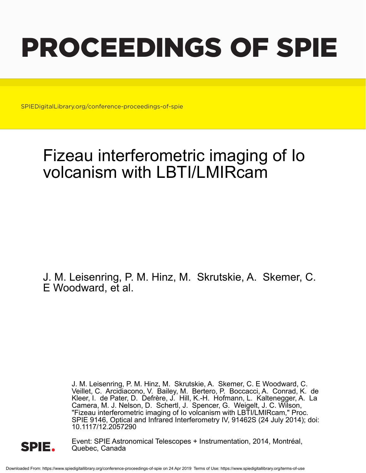# PROCEEDINGS OF SPIE

SPIEDigitalLibrary.org/conference-proceedings-of-spie

## Fizeau interferometric imaging of Io volcanism with LBTI/LMIRcam

J. M. Leisenring, P. M. Hinz, M. Skrutskie, A. Skemer, C. E Woodward, et al.

> J. M. Leisenring, P. M. Hinz, M. Skrutskie, A. Skemer, C. E Woodward, C. Veillet, C. Arcidiacono, V. Bailey, M. Bertero, P. Boccacci, A. Conrad, K. de Kleer, I. de Pater, D. Defrère, J. Hill, K.-H. Hofmann, L. Kaltenegger, A. La Camera, M. J. Nelson, D. Schertl, J. Spencer, G. Weigelt, J. C. Wilson, "Fizeau interferometric imaging of Io volcanism with LBTI/LMIRcam," Proc. SPIE 9146, Optical and Infrared Interferometry IV, 91462S (24 July 2014); doi: 10.1117/12.2057290



Event: SPIE Astronomical Telescopes + Instrumentation, 2014, Montréal, Quebec, Canada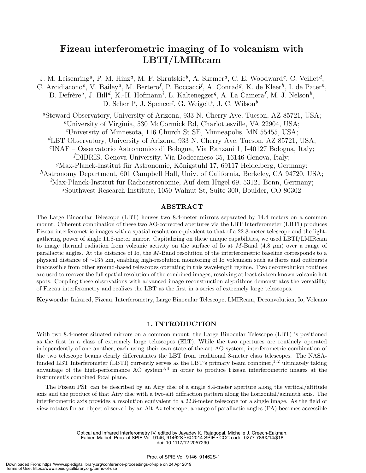### Fizeau interferometric imaging of Io volcanism with LBTI/LMIRcam

J. M. Leisenring<sup>a</sup>, P. M. Hinz<sup>a</sup>, M. F. Skrutskie<sup>b</sup>, A. Skemer<sup>a</sup>, C. E. Woodward<sup>c</sup>, C. Veillet<sup>d</sup>, C. Arcidiacono<sup>e</sup>, V. Bailey<sup>a</sup>, M. Bertero<sup>f</sup>, P. Boccacci<sup>f</sup>, A. Conrad<sup>g</sup>, K. de Kleer<sup>h</sup>, I. de Pater<sup>h</sup>, D. Defrère<sup>a</sup>, J. Hill<sup>d</sup>, K.-H. Hofmann<sup>*i*</sup>, L. Kaltenegger<sup>g</sup>, A. La Camera<sup>f</sup>, M. J. Nelson<sup>b</sup>, D. Schertl<sup>*i*</sup>, J. Spencer<sup>*j*</sup>, G. Weigelt<sup>*i*</sup>, J. C. Wilson<sup>b</sup> <sup>a</sup>Steward Observatory, University of Arizona, 933 N. Cherry Ave, Tucson, AZ 85721, USA; <sup>b</sup>University of Virginia, 530 McCormick Rd, Charlottesville, VA 22904, USA;  $c$ University of Minnesota, 116 Church St SE, Minneapolis, MN 55455, USA; <sup>d</sup>LBT Observatory, University of Arizona, 933 N. Cherry Ave, Tucson, AZ 85721, USA; e INAF – Osservatorio Astronomico di Bologna, Via Ranzani 1, I-40127 Bologna, Italy; <sup>f</sup>DIBRIS, Genova University, Via Dodecaneso 35, 16146 Genova, Italy;  $\mathscr{D}$ Max-Planck-Institut für Astronomie, Königstuhl 17, 69117 Heidelberg, Germany; <sup>h</sup>Astronomy Department, 601 Campbell Hall, Univ. of California, Berkeley, CA 94720, USA;  ${}^{i}$ Max-Planck-Institut für Radioastronomie, Auf dem Hügel 69, 53121 Bonn, Germany; <sup>j</sup>Southwest Research Institute, 1050 Walnut St, Suite 300, Boulder, CO 80302

#### ABSTRACT

The Large Binocular Telescope (LBT) houses two 8.4-meter mirrors separated by 14.4 meters on a common mount. Coherent combination of these two AO-corrected apertures via the LBT Interferometer (LBTI) produces Fizeau interferometric images with a spatial resolution equivalent to that of a 22.8-meter telescope and the lightgathering power of single 11.8-meter mirror. Capitalizing on these unique capabilities, we used LBTI/LMIRcam to image thermal radiation from volcanic activity on the surface of Io at M-Band  $(4.8 \mu m)$  over a range of parallactic angles. At the distance of Io, the M-Band resolution of the interferometric baseline corresponds to a physical distance of ∼135 km, enabling high-resolution monitoring of Io volcanism such as flares and outbursts inaccessible from other ground-based telescopes operating in this wavelength regime. Two deconvolution routines are used to recover the full spatial resolution of the combined images, resolving at least sixteen known volcanic hot spots. Coupling these observations with advanced image reconstruction algorithms demonstrates the versatility of Fizeau interferometry and realizes the LBT as the first in a series of extremely large telescopes.

Keywords: Infrared, Fizeau, Interferometry, Large Binocular Telescope, LMIRcam, Deconvolution, Io, Volcano

#### 1. INTRODUCTION

With two 8.4-meter situated mirrors on a common mount, the Large Binocular Telescope (LBT) is positioned as the first in a class of extremely large telescopes (ELT). While the two apertures are routinely operated independently of one another, each using their own state-of-the-art AO system, interferometric combination of the two telescope beams clearly differentiates the LBT from traditional 8-meter class telescopes. The NASAfunded LBT Interferometer (LBTI) currently serves as the LBT's primary beam combiner,<sup>1,2</sup> ultimately taking advantage of the high-performance AO system<sup>3,4</sup> in order to produce Fizeau interferometric images at the instrument's combined focal plane.

The Fizeau PSF can be described by an Airy disc of a single 8.4-meter aperture along the vertical/altitude axis and the product of that Airy disc with a two-slit diffraction pattern along the horizontal/azimuth axis. The interferometric axis provides a resolution equivalent to a 22.8-meter telescope for a single image. As the field of view rotates for an object observed by an Alt-Az telescope, a range of parallactic angles (PA) becomes accessible

> Optical and Infrared Interferometry IV, edited by Jayadev K. Rajagopal, Michelle J. Creech-Eakman, Fabien Malbet, Proc. of SPIE Vol. 9146, 91462S • © 2014 SPIE • CCC code: 0277-786X/14/\$18 doi: 10.1117/12.2057290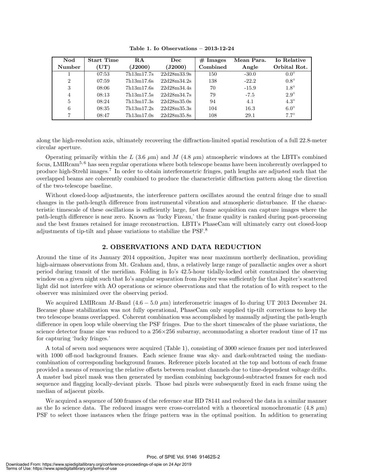| Nod            | <b>Start Time</b> | R.A        | Dec         | $#$ Images | Mean Para. | Io Relative  |
|----------------|-------------------|------------|-------------|------------|------------|--------------|
| <b>Number</b>  | $({\bf UT})$      | (J2000)    | (J2000)     | Combined   | Angle      | Orbital Rot. |
|                | 07:53             | 7h13m17.7s | 22d28m33.9s | 150        | $-30.0$    | $0.0^\circ$  |
| $\overline{2}$ | 07:59             | 7h13m17.6s | 22d28m34.2s | 138        | $-22.2$    | $0.8^\circ$  |
| 3              | 08:06             | 7h13m17.6s | 22d28m34.4s | 70         | $-15.9$    | $1.8^\circ$  |
| 4              | 08:13             | 7h13m17.5s | 22d28m34.7s | 79         | $-7.5$     | $2.9^\circ$  |
| 5              | 08:24             | 7h13m17.3s | 22d28m35.0s | 94         | 4.1        | $4.3^\circ$  |
| 6              | 08:35             | 7h13m17.2s | 22d28m35.3s | 104        | 16.3       | $6.0^\circ$  |
|                | 08:47             | 7h13m17.0s | 22d28m35.8s | 108        | 29.1       | $7.7^\circ$  |

Table 1. Io Observations – 2013-12-24

along the high-resolution axis, ultimately recovering the diffraction-limited spatial resolution of a full 22.8-meter circular aperture.

Operating primarily within the L (3.6  $\mu$ m) and M (4.8  $\mu$ m) atmospheric windows at the LBTI's combined focus, LMIRcam5, 6 has seen regular operations where both telescope beams have been incoherently overlapped to produce high-Strehl images.<sup>7</sup> In order to obtain interferometric fringes, path lengths are adjusted such that the overlapped beams are coherently combined to produce the characteristic diffraction pattern along the direction of the two-telescope baseline.

Without closed-loop adjustments, the interference pattern oscillates around the central fringe due to small changes in the path-length difference from instrumental vibration and atmospheric disturbance. If the characteristic timescale of these oscillations is sufficiently large, fast frame acquisition can capture images where the path-length difference is near zero. Known as 'lucky Fizeau,' the frame quality is ranked during post-processing and the best frames retained for image reconstruction. LBTI's PhaseCam will ultimately carry out closed-loop adjustments of tip-tilt and phase variations to stabilize the PSF.<sup>8</sup>

#### 2. OBSERVATIONS AND DATA REDUCTION

Around the time of its January 2014 opposition, Jupiter was near maximum northerly declination, providing high-airmass observations from Mt. Graham and, thus, a relatively large range of parallactic angles over a short period during transit of the meridian. Folding in Io's 42.5-hour tidally-locked orbit constrained the observing window on a given night such that Io's angular separation from Jupiter was sufficiently far that Jupiter's scattered light did not interfere with AO operations or science observations and that the rotation of Io with respect to the observer was minimized over the observing period.

We acquired LMIRcam M-Band  $(4.6 - 5.0 \mu m)$  interferometric images of Io during UT 2013 December 24. Because phase stabilization was not fully operational, PhaseCam only supplied tip-tilt corrections to keep the two telescope beams overlapped. Coherent combination was accomplished by manually adjusting the path-length difference in open loop while observing the PSF fringes. Due to the short timescales of the phase variations, the science detector frame size was reduced to a  $256\times256$  subarray, accommodating a shorter readout time of 17 ms for capturing 'lucky fringes.'

A total of seven nod sequences were acquired (Table 1), consisting of 3000 science frames per nod interleaved with 1000 off-nod background frames. Each science frame was sky- and dark-subtracted using the mediancombination of corresponding background frames. Reference pixels located at the top and bottom of each frame provided a means of removing the relative offsets between readout channels due to time-dependent voltage drifts. A master bad pixel mask was then generated by median combining background-subtracted frames for each nod sequence and flagging locally-deviant pixels. Those bad pixels were subsequently fixed in each frame using the median of adjacent pixels.

We acquired a sequence of 500 frames of the reference star HD 78141 and reduced the data in a similar manner as the Io science data. The reduced images were cross-correlated with a theoretical monochromatic  $(4.8 \mu m)$ PSF to select those instances when the fringe pattern was in the optimal position. In addition to generating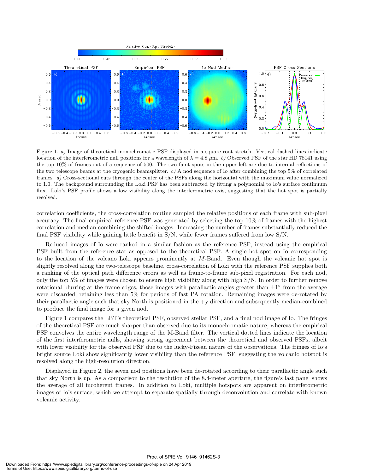

Figure 1. a) Image of theoretical monochromatic PSF displayed in a square root stretch. Vertical dashed lines indicate location of the interferometric null positions for a wavelength of  $\lambda = 4.8 \mu m$ . b) Observed PSF of the star HD 78141 using the top 10% of frames out of a sequence of 500. The two faint spots in the upper left are due to internal reflections of the two telescope beams at the cryogenic beamsplitter.  $c$ ) A nod sequence of Io after combining the top 5% of correlated frames. d) Cross-sectional cuts through the center of the PSFs along the horizontal with the maximum value normalized to 1.0. The background surrounding the Loki PSF has been subtracted by fitting a polynomial to Io's surface continuum flux. Loki's PSF profile shows a low visibility along the interferometric axis, suggesting that the hot spot is partially resolved.

correlation coefficients, the cross-correlation routine sampled the relative positions of each frame with sub-pixel accuracy. The final empirical reference PSF was generated by selecting the top 10% of frames with the highest correlation and median-combining the shifted images. Increasing the number of frames substantially reduced the final PSF visibility while gaining little benefit in S/N, while fewer frames suffered from low S/N.

Reduced images of Io were ranked in a similar fashion as the reference PSF, instead using the empirical PSF built from the reference star as opposed to the theoretical PSF. A single hot spot on Io corresponding to the location of the volcano Loki appears prominently at M-Band. Even though the volcanic hot spot is slightly resolved along the two-telescope baseline, cross-correlation of Loki with the reference PSF supplies both a ranking of the optical path difference errors as well as frame-to-frame sub-pixel registration. For each nod, only the top 5% of images were chosen to ensure high visibility along with high S/N. In order to further remove rotational blurring at the frame edges, those images with parallactic angles greater than  $\pm 1^{\circ}$  from the average were discarded, retaining less than 5% for periods of fast PA rotation. Remaining images were de-rotated by their parallactic angle such that sky North is positioned in the +y direction and subsequently median-combined to produce the final image for a given nod.

Figure 1 compares the LBT's theoretical PSF, observed stellar PSF, and a final nod image of Io. The fringes of the theoretical PSF are much sharper than observed due to its monochromatic nature, whereas the empirical PSF convolves the entire wavelength range of the M-Band filter. The vertical dotted lines indicate the location of the first interferometric nulls, showing strong agreement between the theoretical and observed PSFs, albeit with lower visibility for the observed PSF due to the lucky-Fizeau nature of the observations. The fringes of Io's bright source Loki show significantly lower visibility than the reference PSF, suggesting the volcanic hotspot is resolved along the high-resolution direction.

Displayed in Figure 2, the seven nod positions have been de-rotated according to their parallactic angle such that sky North is up. As a comparison to the resolution of the 8.4-meter aperture, the figure's last panel shows the average of all incoherent frames. In addition to Loki, multiple hotspots are apparent on interferometric images of Io's surface, which we attempt to separate spatially through deconvolution and correlate with known volcanic activity.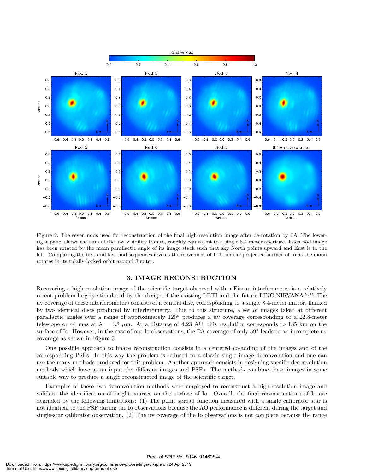

Figure 2. The seven nods used for reconstruction of the final high-resolution image after de-rotation by PA. The lowerright panel shows the sum of the low-visibility frames, roughly equivalent to a single 8.4-meter aperture. Each nod image has been rotated by the mean parallactic angle of its image stack such that sky North points upward and East is to the left. Comparing the first and last nod sequences reveals the movement of Loki on the projected surface of Io as the moon rotates in its tidally-locked orbit around Jupiter.

#### 3. IMAGE RECONSTRUCTION

Recovering a high-resolution image of the scientific target observed with a Fizeau interferometer is a relatively recent problem largely stimulated by the design of the existing LBTI and the future LINC-NIRVANA.<sup>9,10</sup> The uv coverage of these interferometers consists of a central disc, corresponding to a single 8.4-meter mirror, flanked by two identical discs produced by interferometry. Due to this structure, a set of images taken at different parallactic angles over a range of approximately 120◦ produces a uv coverage corresponding to a 22.8-meter telescope or 44 mas at  $\lambda = 4.8$   $\mu$ m. At a distance of 4.23 AU, this resolution corresponds to 135 km on the surface of Io. However, in the case of our Io observations, the PA coverage of only 59° leads to an incomplete uv coverage as shown in Figure 3.

One possible approach to image reconstruction consists in a centered co-adding of the images and of the corresponding PSFs. In this way the problem is reduced to a classic single image deconvolution and one can use the many methods produced for this problem. Another approach consists in designing specific deconvolution methods which have as an input the different images and PSFs. The methods combine these images in some suitable way to produce a single reconstructed image of the scientific target.

Examples of these two deconvolution methods were employed to reconstruct a high-resolution image and validate the identification of bright sources on the surface of Io. Overall, the final reconstructions of Io are degraded by the following limitations: (1) The point spread function measured with a single calibrator star is not identical to the PSF during the Io observations because the AO performance is different during the target and single-star calibrator observation. (2) The uv coverage of the Io observations is not complete because the range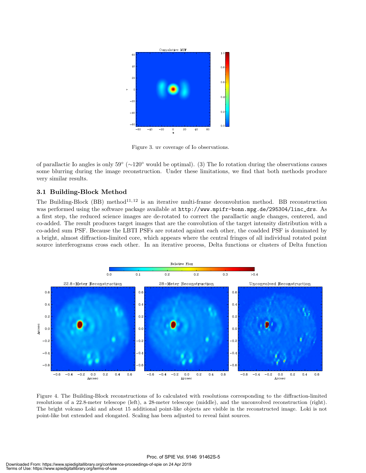

Figure 3. uv coverage of Io observations.

of parallactic Io angles is only  $59° (\sim 120°$  would be optimal). (3) The Io rotation during the observations causes some blurring during the image reconstruction. Under these limitations, we find that both methods produce very similar results.

#### 3.1 Building-Block Method

The Building-Block (BB) method<sup>11, 12</sup> is an iterative multi-frame deconvolution method. BB reconstruction was performed using the software package available at http://www.mpifr-bonn.mpg.de/295304/linc\_drs. As a first step, the reduced science images are de-rotated to correct the parallactic angle changes, centered, and co-added. The result produces target images that are the convolution of the target intensity distribution with a co-added sum PSF. Because the LBTI PSFs are rotated against each other, the coadded PSF is dominated by a bright, almost diffraction-limited core, which appears where the central fringes of all individual rotated point source interferograms cross each other. In an iterative process, Delta functions or clusters of Delta function



Figure 4. The Building-Block reconstructions of Io calculated with resolutions corresponding to the diffraction-limited resolutions of a 22.8-meter telescope (left), a 28-meter telescope (middle), and the unconvolved reconstruction (right). The bright volcano Loki and about 15 additional point-like objects are visible in the reconstructed image. Loki is not point-like but extended and elongated. Scaling has been adjusted to reveal faint sources.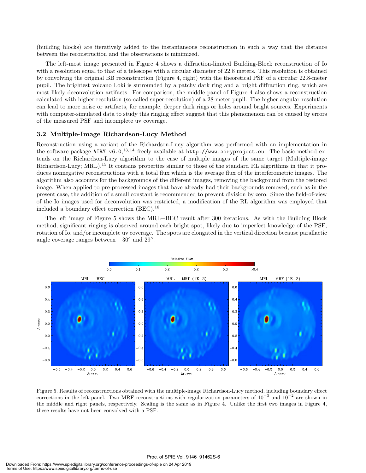(building blocks) are iteratively added to the instantaneous reconstruction in such a way that the distance between the reconstruction and the observations is minimized.

The left-most image presented in Figure 4 shows a diffraction-limited Building-Block reconstruction of Io with a resolution equal to that of a telescope with a circular diameter of 22.8 meters. This resolution is obtained by convolving the original BB reconstruction (Figure 4, right) with the theoretical PSF of a circular 22.8-meter pupil. The brightest volcano Loki is surrounded by a patchy dark ring and a bright diffraction ring, which are most likely deconvolution artifacts. For comparison, the middle panel of Figure 4 also shows a reconstruction calculated with higher resolution (so-called super-resolution) of a 28-meter pupil. The higher angular resolution can lead to more noise or artifacts, for example, deeper dark rings or holes around bright sources. Experiments with computer-simulated data to study this ringing effect suggest that this phenomenom can be caused by errors of the measured PSF and incomplete uv coverage.

#### 3.2 Multiple-Image Richardson-Lucy Method

Reconstruction using a variant of the Richardson-Lucy algorithm was performed with an implementation in the software package AIRY v6.0,  $^{13,14}$  freely available at http://www.airyproject.eu. The basic method extends on the Richardson-Lucy algorithm to the case of multiple images of the same target (Multiple-image Richardson-Lucy; MRL).<sup>15</sup> It contains properties similar to those of the standard RL algorithms in that it produces nonnegative reconstructions with a total flux which is the average flux of the interferometric images. The algorithm also accounts for the backgrounds of the different images, removing the background from the restored image. When applied to pre-processed images that have already had their backgrounds removed, such as in the present case, the addition of a small constant is recommended to prevent division by zero. Since the field-of-view of the Io images used for deconvolution was restricted, a modification of the RL algorithm was employed that included a boundary effect correction (BEC).<sup>16</sup>

The left image of Figure 5 shows the MRL+BEC result after 300 iterations. As with the Building Block method, significant ringing is observed around each bright spot, likely due to imperfect knowledge of the PSF, rotation of Io, and/or incomplete uv coverage. The spots are elongated in the vertical direction because parallactic angle coverage ranges between  $-30^{\circ}$  and  $29^{\circ}$ .



Figure 5. Results of reconstructions obtained with the multiple-image Richardson-Lucy method, including boundary effect corrections in the left panel. Two MRF reconstructions with regularization parameters of  $10^{-3}$  and  $10^{-2}$  are shown in the middle and right panels, respectively. Scaling is the same as in Figure 4. Unlike the first two images in Figure 4, these results have not been convolved with a PSF.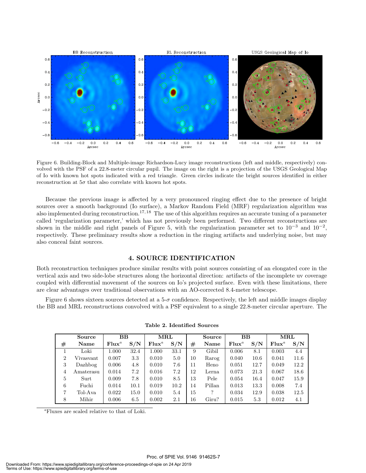

Figure 6. Building-Block and Multiple-image Richardson-Lucy image reconstructions (left and middle, respectively) convolved with the PSF of a 22.8-meter circular pupil. The image on the right is a projection of the USGS Geological Map of Io with known hot spots indicated with a red triangle. Green circles indicate the bright sources identified in either reconstruction at  $5\sigma$  that also correlate with known hot spots.

Because the previous image is affected by a very pronounced ringing effect due to the presence of bright sources over a smooth background (Io surface), a Markov Random Field (MRF) regularization algorithm was also implemented during reconstruction.<sup>17, 18</sup> The use of this algorithm requires an accurate tuning of a parameter called 'regularization parameter,' which has not previously been performed. Two different reconstructions are shown in the middle and right panels of Figure 5, with the regularization parameter set to  $10^{-3}$  and  $10^{-2}$ , respectively. These preliminary results show a reduction in the ringing artifacts and underlying noise, but may also conceal faint sources.

#### 4. SOURCE IDENTIFICATION

Both reconstruction techniques produce similar results with point sources consisting of an elongated core in the vertical axis and two side-lobe structures along the horizontal direction: artifacts of the incomplete uv coverage coupled with differential movement of the sources on Io's projected surface. Even with these limitations, there are clear advantages over traditional observations with an AO-corrected 8.4-meter telescope.

Figure 6 shows sixteen sources detected at a 5-σ confidence. Respectively, the left and middle images display the BB and MRL reconstructions convolved with a PSF equivalent to a single 22.8-meter circular aperture. The

|                | Source    | $\bf BB$ |      | $\operatorname{MRL}$ |      | Source  |        | $\bf BB$ |      | $\operatorname{MRL}$ |      |
|----------------|-----------|----------|------|----------------------|------|---------|--------|----------|------|----------------------|------|
| $^{\#}$        | Name      | $Flux^a$ | S/N  | $Flux^a$             | S/N  | $_{\#}$ | Name   | $Flux^a$ | S/N  | $Flux^a$             | S/N  |
|                | Loki      | 1.000    | 32.4 | 1.000                | 33.1 | 9       | Gibil  | 0.006    | 8.1  | 0.003                | 4.4  |
| $\overline{2}$ | Vivasvant | 0.007    | 3.3  | 0.010                | 5.0  | 10      | Rarog  | 0.040    | 10.6 | 0.041                | 11.6 |
| 3              | Dazhbog   | 0.006    | 4.8  | 0.010                | 7.6  | 11      | Heno   | 0.051    | 12.7 | 0.049                | 12.2 |
| 4              | Amaterasu | 0.014    | 7.2  | 0.016                | 7.2  | 12      | Lerna  | 0.073    | 21.3 | 0.067                | 18.6 |
| 5              | Surt      | 0.009    | 7.8  | 0.010                | 8.5  | 13      | Pele   | 0.054    | 16.4 | 0.047                | 15.9 |
| 6              | Fuchi     | 0.014    | 10.1 | 0.019                | 10.2 | 14      | Pillan | 0.013    | 13.3 | 0.008                | 7.4  |
| 7              | Tol-Ava   | 0.022    | 15.0 | 0.010                | 5.4  | 15      | ?      | 0.034    | 12.9 | 0.038                | 12.5 |
| 8              | Mihir     | 0.006    | 6.5  | 0.002                | 2.1  | 16      | Giru?  | 0.015    | 5.3  | 0.012                | 4.1  |

Table 2. Identified Sources

<sup>a</sup>Fluxes are scaled relative to that of Loki.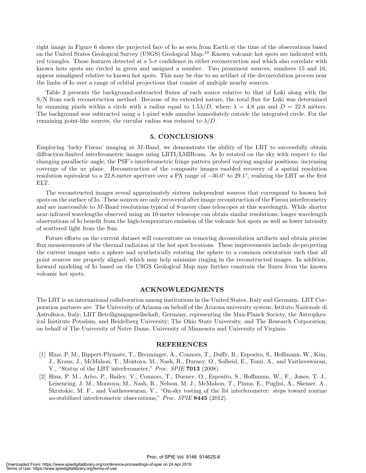right image in Figure 6 shows the projected face of Io as seen from Earth at the time of the observations based on the United States Geological Survey (USGS) Geological Map.<sup>19</sup> Known volcanic hot spots are indicated with red triangles. Those features detected at a  $5-\sigma$  confidence in either reconstruction and which also correlate with known hots spots are circled in green and assigned a number. Two prominent sources, numbers 15 and 16, appear misaligned relative to known hot spots. This may be due to an artifact of the deconvolution process near the limbs of Io over a range of orbital projections that consist of multiple nearby sources.

Table 2 presents the background-subtracted fluxes of each source relative to that of Loki along with the S/N from each reconstruction method. Because of its extended nature, the total flux for Loki was determined by summing pixels within a circle with a radius equal to  $1.5\lambda/D$ , where  $\lambda = 4.8$   $\mu$ m and  $D = 22.8$  meters. The background was subtracted using a 1-pixel wide annulus immediately outside the integrated circle. For the remaining point-like sources, the circular radius was reduced to  $\lambda/D$ .

#### 5. CONCLUSIONS

Employing 'lucky Fizeau' imaging at M-Band, we demonstrate the ability of the LBT to successfully obtain diffraction-limited interferometric images using LBTI/LMIRcam. As Io rotated on the sky with respect to the changing parallactic angle, the PSF's interferometric fringe pattern probed varying angular positions, increasing coverage of the uv plane. Reconstruction of the composite images enabled recovery of a spatial resolution resolution equivalent to a 22.8-meter aperture over a PA range of  $-30.0^{\circ}$  to 29.1<sup>°</sup>, realizing the LBT as the first ELT.

The reconstructed images reveal approximately sixteen independent sources that correspond to known hot spots on the surface of Io. These sources are only recovered after image reconstruction of the Fizeau interferometry and are inaccessible to M-Band resolutions typical of 8-meter class telescopes at this wavelength. While shorter near-infrared wavelengths observed using an 10-meter telescope can obtain similar resolutions, longer wavelength observations of Io benefit from the high-temperature emission of the volcanic hot spots as well as lower intensity of scattered light from the Sun.

Future efforts on the current dataset will concentrate on removing deconvolution artifacts and obtain precise flux measurements of the thermal radiation at the hot spot locations. These improvements include de-projecting the current images onto a sphere and synthetically rotating the sphere to a common orientation such that all point sources are properly aligned, which may help minimize ringing in the reconstructed images. In addition, forward modeling of Io based on the USGS Geological Map may further constrain the fluxes from the known volcanic hot spots.

#### ACKNOWLEDGMENTS

The LBT is an international collaboration among institutions in the United States, Italy and Germany. LBT Corporation partners are: The University of Arizona on behalf of the Arizona university system; Istituto Nazionale di Astrofisica, Italy; LBT Beteiligungsgesellschaft, Germany, representing the Max-Planck Society, the Astrophysical Institute Potsdam, and Heidelberg University; The Ohio State University, and The Research Corporation, on behalf of The University of Notre Dame, University of Minnesota and University of Virginia.

#### REFERENCES

- [1] Hinz, P. M., Bippert-Plymate, T., Breuninger, A., Connors, T., Duffy, B., Esposito, S., Hoffmann, W., Kim, J., Kraus, J., McMahon, T., Montoya, M., Nash, R., Durney, O., Solheid, E., Tozzi, A., and Vaitheeswaran, V., "Status of the LBT interferometer," Proc. SPIE 7013 (2008).
- [2] Hinz, P. M., Arbo, P., Bailey, V., Connors, T., Durney, O., Esposito, S., Hoffmann, W., F., Jones, T. J., Leisenring, J. M., Montoya, M., Nash, R., Nelson, M. J., McMahon, T., Pinna, E., Puglisi, A., Skemer, A., Skrutskie, M. F., and Vaitheeswaran, V., "On-sky testing of the lbt interferometer: steps toward routine ao-stabilized interferometric observations," Proc. SPIE 8445 (2012).